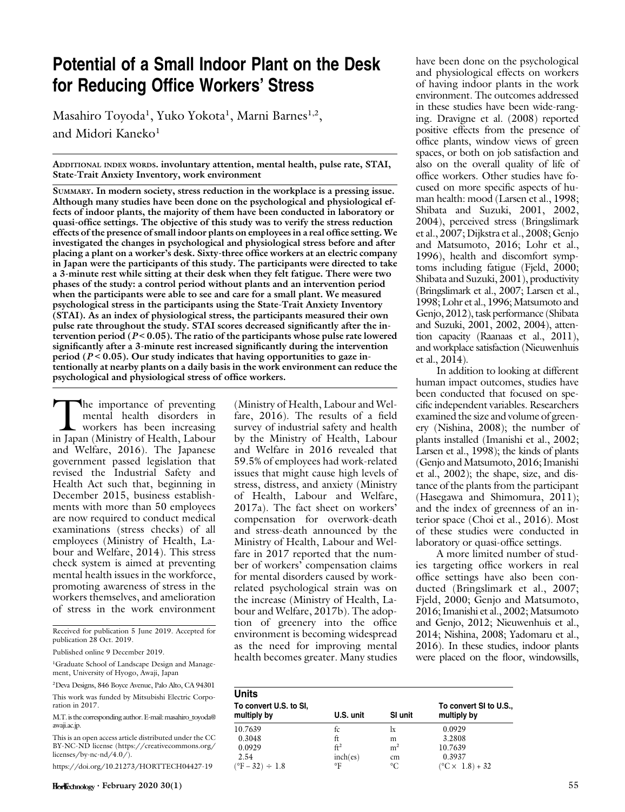# Potential of a Small Indoor Plant on the Desk for Reducing Office Workers' Stress

Masahiro Toyoda<sup>1</sup>, Yuko Yokota<sup>1</sup>, Marni Barnes<sup>1,2</sup>, and Midori Kaneko $1$ 

ADDITIONAL INDEX WORDS. involuntary attention, mental health, pulse rate, STAI, State-Trait Anxiety Inventory, work environment

SUMMARY. In modern society, stress reduction in the workplace is a pressing issue. Although many studies have been done on the psychological and physiological effects of indoor plants, the majority of them have been conducted in laboratory or quasi-office settings. The objective of this study was to verify the stress reduction effects of the presence of small indoor plants on employees in a real office setting. We investigated the changes in psychological and physiological stress before and after placing a plant on a worker's desk. Sixty-three office workers at an electric company in Japan were the participants of this study. The participants were directed to take a 3-minute rest while sitting at their desk when they felt fatigue. There were two phases of the study: a control period without plants and an intervention period when the participants were able to see and care for a small plant. We measured psychological stress in the participants using the State-Trait Anxiety Inventory (STAI). As an index of physiological stress, the participants measured their own pulse rate throughout the study. STAI scores decreased significantly after the intervention period ( $P < 0.05$ ). The ratio of the participants whose pulse rate lowered significantly after a 3-minute rest increased significantly during the intervention period ( $P < 0.05$ ). Our study indicates that having opportunities to gaze intentionally at nearby plants on a daily basis in the work environment can reduce the psychological and physiological stress of office workers.

The importance of preventing<br>mental health disorders in<br>workers has been increasing<br>in Iapan (Ministry of Health, Labour mental health disorders in workers has been increasing in Japan (Ministry of Health, Labour and Welfare, 2016). The Japanese government passed legislation that revised the Industrial Safety and Health Act such that, beginning in December 2015, business establishments with more than 50 employees are now required to conduct medical examinations (stress checks) of all employees (Ministry of Health, Labour and Welfare, 2014). This stress check system is aimed at preventing mental health issues in the workforce, promoting awareness of stress in the workers themselves, and amelioration of stress in the work environment

Received for publication 5 June 2019. Accepted for publication 28 Oct. 2019.

Published online 9 December 2019.

<sup>1</sup>Graduate School of Landscape Design and Management, University of Hyogo, Awaji, Japan

2 Deva Designs, 846 Boyce Avenue, Palo Alto, CA 94301

This work was funded by Mitsubishi Electric Corporation in 2017.

M.T. is the corresponding author. E-mail: [masahiro\\_toyoda@](mailto:masahiro_toyoda@awaji.ac.jp) [awaji.ac.jp.](mailto:masahiro_toyoda@awaji.ac.jp)

This is an open access article distributed under the CC BY-NC-ND license [\(https://creativecommons.org/](https://creativecommons.org/licenses/by-nc-nd/4.0/) [licenses/by-nc-nd/4.0/](https://creativecommons.org/licenses/by-nc-nd/4.0/) $\hat{O}$ .

<https://doi.org/10.21273/HORTTECH04427-19>

(Ministry of Health, Labour and Welfare, 2016). The results of a field survey of industrial safety and health by the Ministry of Health, Labour and Welfare in 2016 revealed that 59.5% of employees had work-related issues that might cause high levels of stress, distress, and anxiety (Ministry of Health, Labour and Welfare, 2017a). The fact sheet on workers' compensation for overwork-death and stress-death announced by the Ministry of Health, Labour and Welfare in 2017 reported that the number of workers' compensation claims for mental disorders caused by workrelated psychological strain was on the increase (Ministry of Health, Labour and Welfare, 2017b). The adoption of greenery into the office environment is becoming widespread as the need for improving mental health becomes greater. Many studies

have been done on the psychological and physiological effects on workers of having indoor plants in the work environment. The outcomes addressed in these studies have been wide-ranging. Dravigne et al. (2008) reported positive effects from the presence of office plants, window views of green spaces, or both on job satisfaction and also on the overall quality of life of office workers. Other studies have focused on more specific aspects of human health: mood (Larsen et al., 1998; Shibata and Suzuki, 2001, 2002, 2004), perceived stress (Bringslimark et al., 2007; Dijkstra et al., 2008; Genjo and Matsumoto, 2016; Lohr et al., 1996), health and discomfort symptoms including fatigue (Fjeld, 2000; Shibata and Suzuki, 2001), productivity (Bringslimark et al., 2007; Larsen et al., 1998; Lohr et al., 1996; Matsumoto and Genjo, 2012), task performance (Shibata and Suzuki, 2001, 2002, 2004), attention capacity (Raanaas et al., 2011), and workplace satisfaction (Nieuwenhuis et al., 2014).

In addition to looking at different human impact outcomes, studies have been conducted that focused on specific independent variables. Researchers examined the size and volume of greenery (Nishina, 2008); the number of plants installed (Imanishi et al., 2002; Larsen et al., 1998); the kinds of plants (Genjo and Matsumoto, 2016; Imanishi et al., 2002); the shape, size, and distance of the plants from the participant (Hasegawa and Shimomura, 2011); and the index of greenness of an interior space (Choi et al., 2016). Most of these studies were conducted in laboratory or quasi-office settings.

A more limited number of studies targeting office workers in real office settings have also been conducted (Bringslimark et al., 2007; Fjeld, 2000; Genjo and Matsumoto, 2016; Imanishi et al., 2002; Matsumoto and Genjo, 2012; Nieuwenhuis et al., 2014; Nishina, 2008; Yadomaru et al., 2016). In these studies, indoor plants were placed on the floor, windowsills,

| Units<br>To convert U.S. to SI, |                 |                | To convert SI to U.S.,        |
|---------------------------------|-----------------|----------------|-------------------------------|
| multiply by                     | U.S. unit       | SI unit        | multiply by                   |
| 10.7639                         | tc.             | lx             | 0.0929                        |
| 0.3048                          | ft              | m              | 3.2808                        |
| 0.0929                          | $\mathrm{ft}^2$ | m <sup>2</sup> | 10.7639                       |
| 2.54                            | inch(es)        | cm             | 0.3937                        |
| $(^{\circ}F - 32) \div 1.8$     | °F              | °C             | $(^{\circ}C \times 1.8) + 32$ |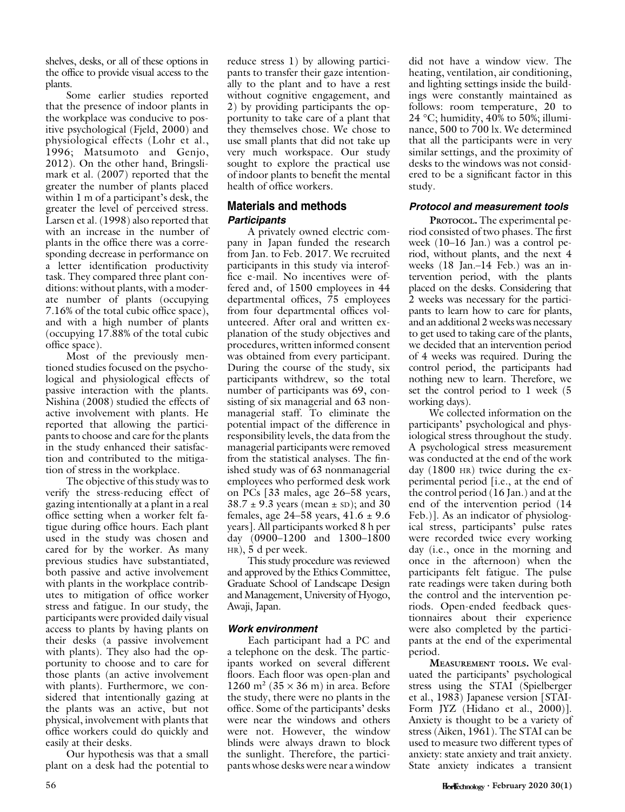shelves, desks, or all of these options in the office to provide visual access to the plants.

Some earlier studies reported that the presence of indoor plants in the workplace was conducive to positive psychological (Fjeld, 2000) and physiological effects (Lohr et al., 1996; Matsumoto and Genjo, 2012). On the other hand, Bringslimark et al. (2007) reported that the greater the number of plants placed within 1 m of a participant's desk, the greater the level of perceived stress. Larsen et al. (1998) also reported that with an increase in the number of plants in the office there was a corresponding decrease in performance on a letter identification productivity task. They compared three plant conditions: without plants, with a moderate number of plants (occupying 7.16% of the total cubic office space), and with a high number of plants (occupying 17.88% of the total cubic office space).

Most of the previously mentioned studies focused on the psychological and physiological effects of passive interaction with the plants. Nishina (2008) studied the effects of active involvement with plants. He reported that allowing the participants to choose and care for the plants in the study enhanced their satisfaction and contributed to the mitigation of stress in the workplace.

The objective of this study was to verify the stress-reducing effect of gazing intentionally at a plant in a real office setting when a worker felt fatigue during office hours. Each plant used in the study was chosen and cared for by the worker. As many previous studies have substantiated, both passive and active involvement with plants in the workplace contributes to mitigation of office worker stress and fatigue. In our study, the participants were provided daily visual access to plants by having plants on their desks (a passive involvement with plants). They also had the opportunity to choose and to care for those plants (an active involvement with plants). Furthermore, we considered that intentionally gazing at the plants was an active, but not physical, involvement with plants that office workers could do quickly and easily at their desks.

Our hypothesis was that a small plant on a desk had the potential to reduce stress 1) by allowing participants to transfer their gaze intentionally to the plant and to have a rest without cognitive engagement, and 2) by providing participants the opportunity to take care of a plant that they themselves chose. We chose to use small plants that did not take up very much workspace. Our study sought to explore the practical use of indoor plants to benefit the mental health of office workers.

## Materials and methods **Participants**

A privately owned electric company in Japan funded the research from Jan. to Feb. 2017. We recruited participants in this study via interoffice e-mail. No incentives were offered and, of 1500 employees in 44 departmental offices, 75 employees from four departmental offices volunteered. After oral and written explanation of the study objectives and procedures, written informed consent was obtained from every participant. During the course of the study, six participants withdrew, so the total number of participants was 69, consisting of six managerial and 63 nonmanagerial staff. To eliminate the potential impact of the difference in responsibility levels, the data from the managerial participants were removed from the statistical analyses. The finished study was of 63 nonmanagerial employees who performed desk work on PCs [33 males, age 26–58 years,  $38.7 \pm 9.3$  years (mean  $\pm$  sD); and 30 females, age 24–58 years,  $41.6 \pm 9.6$ years]. All participants worked 8 h per day (0900–1200 and 1300–1800 HR), 5 d per week.

This study procedure was reviewed and approved by the Ethics Committee, Graduate School of Landscape Design and Management, University of Hyogo, Awaji, Japan.

## Work environment

Each participant had a PC and a telephone on the desk. The participants worked on several different floors. Each floor was open-plan and 1260 m<sup>2</sup> (35  $\times$  36 m) in area. Before the study, there were no plants in the office. Some of the participants' desks were near the windows and others were not. However, the window blinds were always drawn to block the sunlight. Therefore, the participants whose desks were near a window

did not have a window view. The heating, ventilation, air conditioning, and lighting settings inside the buildings were constantly maintained as follows: room temperature, 20 to 24 °C; humidity, 40% to 50%; illuminance, 500 to 700 lx. We determined that all the participants were in very similar settings, and the proximity of desks to the windows was not considered to be a significant factor in this study.

## Protocol and measurement tools

PROTOCOL. The experimental period consisted of two phases. The first week (10–16 Jan.) was a control period, without plants, and the next 4 weeks (18 Jan.–14 Feb.) was an intervention period, with the plants placed on the desks. Considering that 2 weeks was necessary for the participants to learn how to care for plants, and an additional 2 weeks was necessary to get used to taking care of the plants, we decided that an intervention period of 4 weeks was required. During the control period, the participants had nothing new to learn. Therefore, we set the control period to 1 week (5 working days).

We collected information on the participants' psychological and physiological stress throughout the study. A psychological stress measurement was conducted at the end of the work day (1800 HR) twice during the experimental period [i.e., at the end of the control period (16 Jan.) and at the end of the intervention period (14 Feb.)]. As an indicator of physiological stress, participants' pulse rates were recorded twice every working day (i.e., once in the morning and once in the afternoon) when the participants felt fatigue. The pulse rate readings were taken during both the control and the intervention periods. Open-ended feedback questionnaires about their experience were also completed by the participants at the end of the experimental period.

MEASUREMENT TOOLS. We evaluated the participants' psychological stress using the STAI (Spielberger et al., 1983) Japanese version [STAI-Form JYZ (Hidano et al., 2000)]. Anxiety is thought to be a variety of stress (Aiken, 1961). The STAI can be used to measure two different types of anxiety: state anxiety and trait anxiety. State anxiety indicates a transient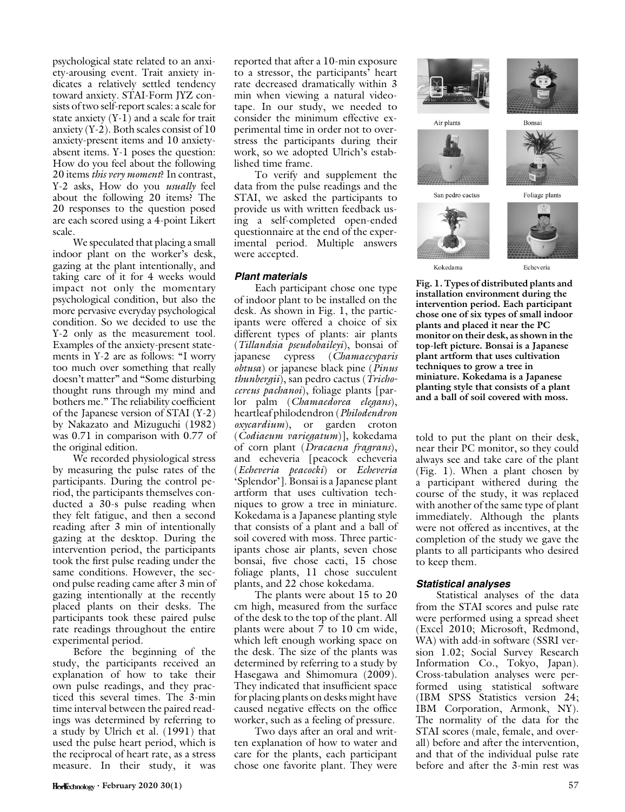psychological state related to an anxiety-arousing event. Trait anxiety indicates a relatively settled tendency toward anxiety. STAI-Form JYZ consists of two self-report scales: a scale for state anxiety (Y-1) and a scale for trait anxiety (Y-2). Both scales consist of 10 anxiety-present items and 10 anxietyabsent items. Y-1 poses the question: How do you feel about the following 20 items *this very moment*? In contrast, Y-2 asks, How do you *usually* feel about the following 20 items? The 20 responses to the question posed are each scored using a 4-point Likert scale.

We speculated that placing a small indoor plant on the worker's desk, gazing at the plant intentionally, and taking care of it for 4 weeks would impact not only the momentary psychological condition, but also the more pervasive everyday psychological condition. So we decided to use the Y-2 only as the measurement tool. Examples of the anxiety-present statements in Y-2 are as follows: "I worry too much over something that really doesn't matter'' and ''Some disturbing thought runs through my mind and bothers me.'' The reliability coefficient of the Japanese version of STAI (Y-2) by Nakazato and Mizuguchi (1982) was 0.71 in comparison with 0.77 of the original edition.

We recorded physiological stress by measuring the pulse rates of the participants. During the control period, the participants themselves conducted a 30-s pulse reading when they felt fatigue, and then a second reading after 3 min of intentionally gazing at the desktop. During the intervention period, the participants took the first pulse reading under the same conditions. However, the second pulse reading came after 3 min of gazing intentionally at the recently placed plants on their desks. The participants took these paired pulse rate readings throughout the entire experimental period.

Before the beginning of the study, the participants received an explanation of how to take their own pulse readings, and they practiced this several times. The 3-min time interval between the paired readings was determined by referring to a study by Ulrich et al. (1991) that used the pulse heart period, which is the reciprocal of heart rate, as a stress measure. In their study, it was

reported that after a 10-min exposure to a stressor, the participants' heart rate decreased dramatically within 3 min when viewing a natural videotape. In our study, we needed to consider the minimum effective experimental time in order not to overstress the participants during their work, so we adopted Ulrich's established time frame.

To verify and supplement the data from the pulse readings and the STAI, we asked the participants to provide us with written feedback using a self-completed open-ended questionnaire at the end of the experimental period. Multiple answers were accepted.

#### Plant materials

Each participant chose one type of indoor plant to be installed on the desk. As shown in Fig. 1, the participants were offered a choice of six different types of plants: air plants (Tillandsia pseudobaileyi), bonsai of japanese cypress (Chamaecyparis obtusa) or japanese black pine (*Pinus* thunbergii), san pedro cactus (Trichocereus pachanoi), foliage plants [parlor palm (Chamaedorea elegans), heartleaf philodendron (Philodendron oxycardium), or garden croton (Codiaeum variegatum)], kokedama of corn plant (Dracaena fragrans), and echeveria [peacock echeveria (Echeveria peacocki) or Echeveria 'Splendor']. Bonsai is a Japanese plant artform that uses cultivation techniques to grow a tree in miniature. Kokedama is a Japanese planting style that consists of a plant and a ball of soil covered with moss. Three participants chose air plants, seven chose bonsai, five chose cacti, 15 chose foliage plants, 11 chose succulent plants, and 22 chose kokedama.

The plants were about 15 to 20 cm high, measured from the surface of the desk to the top of the plant. All plants were about 7 to 10 cm wide, which left enough working space on the desk. The size of the plants was determined by referring to a study by Hasegawa and Shimomura (2009). They indicated that insufficient space for placing plants on desks might have caused negative effects on the office worker, such as a feeling of pressure.

Two days after an oral and written explanation of how to water and care for the plants, each participant chose one favorite plant. They were



Air plants



Bonsai



Foliage plants



Kokedama

San pedro cactus

Echeveria

Fig. 1. Types of distributed plants and installation environment during the intervention period. Each participant chose one of six types of small indoor plants and placed it near the PC monitor on their desk, as shown in the top-left picture. Bonsai is a Japanese plant artform that uses cultivation techniques to grow a tree in miniature. Kokedama is a Japanese planting style that consists of a plant and a ball of soil covered with moss.

told to put the plant on their desk, near their PC monitor, so they could always see and take care of the plant (Fig. 1). When a plant chosen by a participant withered during the course of the study, it was replaced with another of the same type of plant immediately. Although the plants were not offered as incentives, at the completion of the study we gave the plants to all participants who desired to keep them.

#### Statistical analyses

Statistical analyses of the data from the STAI scores and pulse rate were performed using a spread sheet (Excel 2010; Microsoft, Redmond, WA) with add-in software (SSRI version 1.02; Social Survey Research Information Co., Tokyo, Japan). Cross-tabulation analyses were performed using statistical software (IBM SPSS Statistics version 24; IBM Corporation, Armonk, NY). The normality of the data for the STAI scores (male, female, and overall) before and after the intervention, and that of the individual pulse rate before and after the 3-min rest was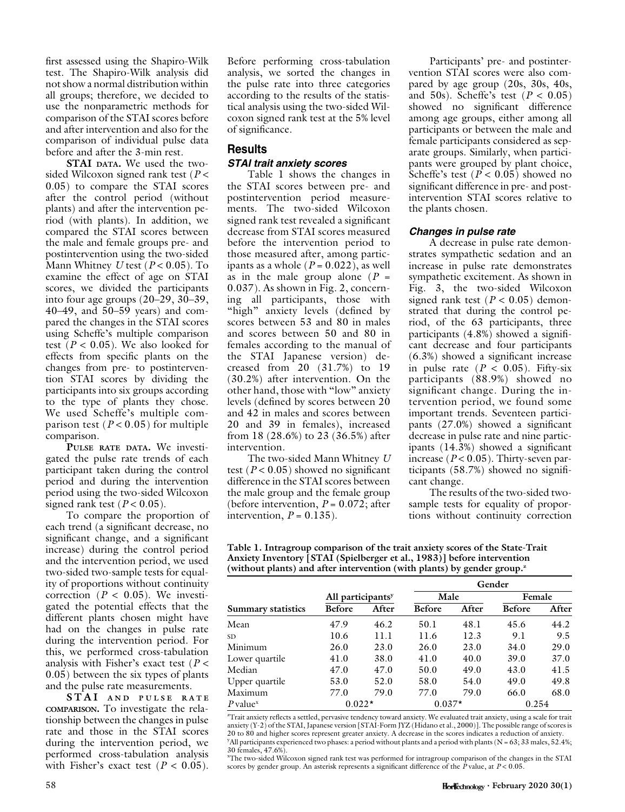first assessed using the Shapiro-Wilk test. The Shapiro-Wilk analysis did not show a normal distribution within all groups; therefore, we decided to use the nonparametric methods for comparison of the STAI scores before and after intervention and also for the comparison of individual pulse data before and after the 3-min rest.

STAI DATA. We used the twosided Wilcoxon signed rank test ( $P$  < 0.05) to compare the STAI scores after the control period (without plants) and after the intervention period (with plants). In addition, we compared the STAI scores between the male and female groups pre- and postintervention using the two-sided Mann Whitney  $U$  test ( $P < 0.05$ ). To examine the effect of age on STAI scores, we divided the participants into four age groups (20–29, 30–39, 40–49, and 50–59 years) and compared the changes in the STAI scores using Scheffe's multiple comparison test ( $P < 0.05$ ). We also looked for effects from specific plants on the changes from pre- to postintervention STAI scores by dividing the participants into six groups according to the type of plants they chose. We used Scheffe's multiple comparison test ( $P < 0.05$ ) for multiple comparison.

PULSE RATE DATA. We investigated the pulse rate trends of each participant taken during the control period and during the intervention period using the two-sided Wilcoxon signed rank test ( $P < 0.05$ ).

To compare the proportion of each trend (a significant decrease, no significant change, and a significant increase) during the control period and the intervention period, we used two-sided two-sample tests for equality of proportions without continuity correction ( $P < 0.05$ ). We investigated the potential effects that the different plants chosen might have had on the changes in pulse rate during the intervention period. For this, we performed cross-tabulation analysis with Fisher's exact test ( $P <$ 0.05) between the six types of plants and the pulse rate measurements.

STAI AND PULSE RATE COMPARISON. To investigate the relationship between the changes in pulse rate and those in the STAI scores during the intervention period, we performed cross-tabulation analysis with Fisher's exact test ( $P < 0.05$ ).

Before performing cross-tabulation analysis, we sorted the changes in the pulse rate into three categories according to the results of the statistical analysis using the two-sided Wilcoxon signed rank test at the 5% level of significance.

# Results

## STAI trait anxiety scores

Table 1 shows the changes in the STAI scores between pre- and postintervention period measurements. The two-sided Wilcoxon signed rank test revealed a significant decrease from STAI scores measured before the intervention period to those measured after, among participants as a whole  $(P = 0.022)$ , as well as in the male group alone  $(P =$ 0.037). As shown in Fig. 2, concerning all participants, those with "high" anxiety levels (defined by scores between 53 and 80 in males and scores between 50 and 80 in females according to the manual of the STAI Japanese version) decreased from 20 (31.7%) to 19 (30.2%) after intervention. On the other hand, those with ''low'' anxiety levels (defined by scores between 20 and 42 in males and scores between 20 and 39 in females), increased from 18 (28.6%) to 23 (36.5%) after intervention.

The two-sided Mann Whitney U test ( $P < 0.05$ ) showed no significant difference in the STAI scores between the male group and the female group (before intervention,  $P = 0.072$ ; after intervention,  $P = 0.135$ ).

Participants' pre- and postintervention STAI scores were also compared by age group (20s, 30s, 40s, and 50s). Scheffe's test ( $P < 0.05$ ) showed no significant difference among age groups, either among all participants or between the male and female participants considered as separate groups. Similarly, when participants were grouped by plant choice, Scheffe's test ( $P < 0.05$ ) showed no significant difference in pre- and postintervention STAI scores relative to the plants chosen.

## Changes in pulse rate

A decrease in pulse rate demonstrates sympathetic sedation and an increase in pulse rate demonstrates sympathetic excitement. As shown in Fig. 3, the two-sided Wilcoxon signed rank test ( $P < 0.05$ ) demonstrated that during the control period, of the 63 participants, three participants (4.8%) showed a significant decrease and four participants (6.3%) showed a significant increase in pulse rate ( $P < 0.05$ ). Fifty-six participants (88.9%) showed no significant change. During the intervention period, we found some important trends. Seventeen participants (27.0%) showed a significant decrease in pulse rate and nine participants (14.3%) showed a significant increase ( $P < 0.05$ ). Thirty-seven participants (58.7%) showed no significant change.

The results of the two-sided twosample tests for equality of proportions without continuity correction

Table 1. Intragroup comparison of the trait anxiety scores of the State-Trait Anxiety Inventory [STAI (Spielberger et al., 1983)] before intervention (without plants) and after intervention (with plants) by gender group.<sup>2</sup>

|                        |                               |       |               |       | Gender        |       |
|------------------------|-------------------------------|-------|---------------|-------|---------------|-------|
|                        | All participants <sup>y</sup> |       | Male          |       | Female        |       |
| Summary statistics     | <b>Before</b>                 | After | <b>Before</b> | After | <b>Before</b> | After |
| Mean                   | 47.9                          | 46.2  | 50.1          | 48.1  | 45.6          | 44.2  |
| SD.                    | 10.6                          | 11.1  | 11.6          | 12.3  | 9.1           | 9.5   |
| Minimum                | 26.0                          | 23.0  | 26.0          | 23.0  | 34.0          | 29.0  |
| Lower quartile         | 41.0                          | 38.0  | 41.0          | 40.0  | 39.0          | 37.0  |
| Median                 | 47.0                          | 47.0  | 50.0          | 49.0  | 43.0          | 41.5  |
| Upper quartile         | 53.0                          | 52.0  | 58.0          | 54.0  | 49.0          | 49.8  |
| Maximum                | 77.0                          | 79.0  | 77.0          | 79.0  | 66.0          | 68.0  |
| $P$ value <sup>x</sup> | $0.022*$                      |       | $0.037*$      |       | 0.254         |       |

z Trait anxiety reflects a settled, pervasive tendency toward anxiety. We evaluated trait anxiety, using a scale for trait anxiety (Y-2) of the STAI, Japanese version [STAI-Form JYZ (Hidano et al., 2000)]. The possible range of scores is 20 to 80 and higher scores represent greater anxiety. A decrease in the scores indicates a reduction of anxiety. y All participants experienced two phases: a period without plants and a period with plants (N = 63; 33 males, 52.4%; 30 females, 47.6%).

x The two-sided Wilcoxon signed rank test was performed for intragroup comparison of the changes in the STAI scores by gender group. An asterisk represents a significant difference of the  $\tilde{P}$  value, at  $P < 0.05$ .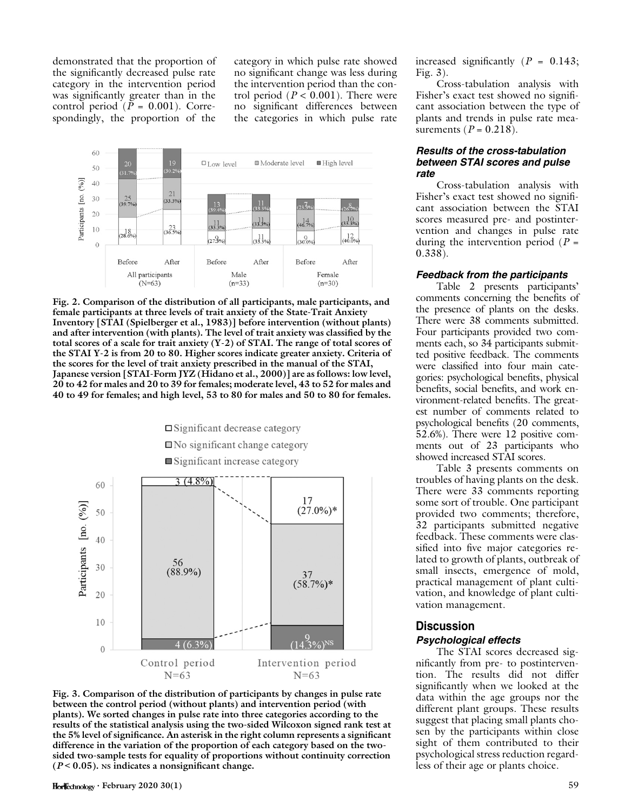demonstrated that the proportion of the significantly decreased pulse rate category in the intervention period was significantly greater than in the control period ( $P = 0.001$ ). Correspondingly, the proportion of the

category in which pulse rate showed no significant change was less during the intervention period than the control period ( $P < 0.001$ ). There were no significant differences between the categories in which pulse rate



Fig. 2. Comparison of the distribution of all participants, male participants, and female participants at three levels of trait anxiety of the State-Trait Anxiety Inventory [STAI (Spielberger et al., 1983)] before intervention (without plants) and after intervention (with plants). The level of trait anxiety was classified by the total scores of a scale for trait anxiety  $(Y-2)$  of STAI. The range of total scores of the STAI Y-2 is from 20 to 80. Higher scores indicate greater anxiety. Criteria of the scores for the level of trait anxiety prescribed in the manual of the STAI, Japanese version [STAI-Form JYZ (Hidano et al., 2000)] are as follows: low level, 20 to 42 for males and 20 to 39 for females; moderate level, 43 to 52 for males and 40 to 49 for females; and high level, 53 to 80 for males and 50 to 80 for females.



Fig. 3. Comparison of the distribution of participants by changes in pulse rate between the control period (without plants) and intervention period (with plants). We sorted changes in pulse rate into three categories according to the results of the statistical analysis using the two-sided Wilcoxon signed rank test at the 5% level of significance. An asterisk in the right column represents a significant difference in the variation of the proportion of each category based on the twosided two-sample tests for equality of proportions without continuity correction  $(P < 0.05)$ . Ns indicates a nonsignificant change.

increased significantly  $(P = 0.143)$ ; Fig. 3).

Cross-tabulation analysis with Fisher's exact test showed no significant association between the type of plants and trends in pulse rate measurements ( $P = 0.218$ ).

#### Results of the cross-tabulation between STAI scores and pulse rate

Cross-tabulation analysis with Fisher's exact test showed no significant association between the STAI scores measured pre- and postintervention and changes in pulse rate during the intervention period  $(P =$ 0.338).

#### Feedback from the participants

Table 2 presents participants' comments concerning the benefits of the presence of plants on the desks. There were 38 comments submitted. Four participants provided two comments each, so 34 participants submitted positive feedback. The comments were classified into four main categories: psychological benefits, physical benefits, social benefits, and work environment-related benefits. The greatest number of comments related to psychological benefits (20 comments, 52.6%). There were 12 positive comments out of 23 participants who showed increased STAI scores.

Table 3 presents comments on troubles of having plants on the desk. There were 33 comments reporting some sort of trouble. One participant provided two comments; therefore, 32 participants submitted negative feedback. These comments were classified into five major categories related to growth of plants, outbreak of small insects, emergence of mold, practical management of plant cultivation, and knowledge of plant cultivation management.

### Discussion

#### Psychological effects

The STAI scores decreased significantly from pre- to postintervention. The results did not differ significantly when we looked at the data within the age groups nor the different plant groups. These results suggest that placing small plants chosen by the participants within close sight of them contributed to their psychological stress reduction regardless of their age or plants choice.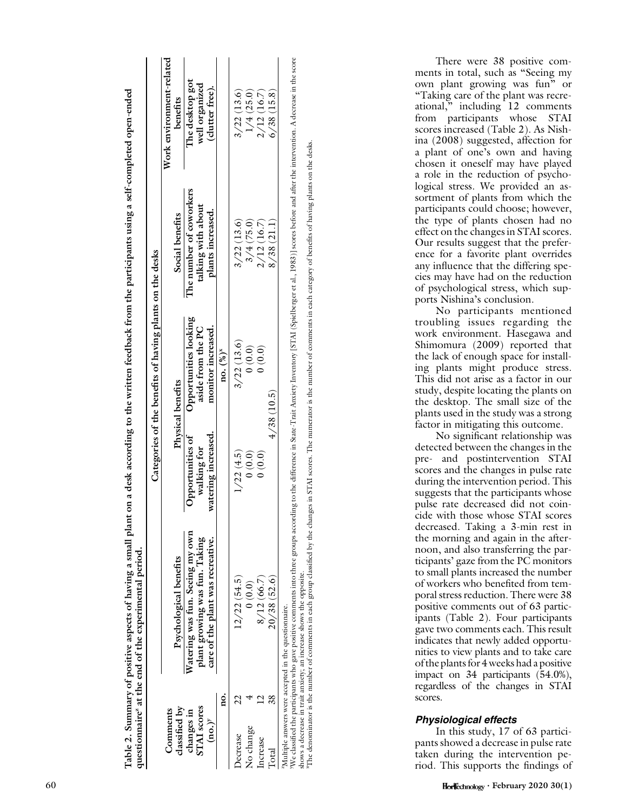|                                    |      |                                                                                                                                                                                                                                                                                        |                                   | Categories of the benefits of having plants on the desks |                                         |                                   |
|------------------------------------|------|----------------------------------------------------------------------------------------------------------------------------------------------------------------------------------------------------------------------------------------------------------------------------------------|-----------------------------------|----------------------------------------------------------|-----------------------------------------|-----------------------------------|
| Comments                           |      |                                                                                                                                                                                                                                                                                        |                                   |                                                          |                                         | Work environment-related          |
| classified by                      |      | Psychological benefits                                                                                                                                                                                                                                                                 |                                   | Physical benefits                                        | Social benefits                         | benefits                          |
| changes in                         |      | Watering was fun. Seeing my own                                                                                                                                                                                                                                                        | Opportunities of                  | Opportunities looking                                    | The number of coworkers                 | The desktop got                   |
| STAI scores<br>$(no.$ <sup>y</sup> |      | lant growing was fun. Taking<br>care of the plant was recreative.                                                                                                                                                                                                                      | watering increased<br>walking for | aside from the PC<br>monitor increased.                  | talking with about<br>plants increased. | well organized<br>(clutter free). |
|                                    | ខ្នុ |                                                                                                                                                                                                                                                                                        |                                   | $\text{no.} (%)^{\text{x}}$                              |                                         |                                   |
| <b>Decrease</b>                    |      | 12/22(54.5)                                                                                                                                                                                                                                                                            | 1/22(4.5)                         | 3/22(13.6)                                               | 3/22(13.6)                              | 3/22(13.6)                        |
| No change                          |      | 0(0.0)                                                                                                                                                                                                                                                                                 | (0.0, 0)                          | (0.0, 0)                                                 | 3/4(75.0)                               | 1/4(25.0)                         |
| ncrease                            |      | 8/12(66.7)                                                                                                                                                                                                                                                                             | (0.0)                             | (0.0) 0                                                  | 2/12(16.7)                              | 2/12(16.7)                        |
| ota                                |      | 20/38(52.6)                                                                                                                                                                                                                                                                            |                                   | 4/38(10.5)                                               | 8/38(21.1)                              | 6/38(15.8)                        |
|                                    |      | We classified the participants who gave positive comments into three groups according to the difference in State-Trait Anxiety Inventory [STAI (Spidlberger et al., 1983)] scores before and after the intervention. A decreas<br>Multiple answers were accepted in the questionnaire. |                                   |                                                          |                                         |                                   |

Table 2. Summary of positive aspects of having a small plant on a desk according to the written feedback from the participants using a self-completed open-ended en-ended Table 2. Summary of positive aspects of having a small plant on a desk according to the written feedback from the participants using a self-completed op questionnairez at the end of the experimental period. questionnaire<sup>z</sup> at the end of the experimental period

xThe denominator is the number of comments in each group classified by the changes in STAI scores. The numerator is the number of comments in each category of benefits of having plants on the desks. "The denominator is the number of comments in each group classified by the changes in STAI scores. The numerator is the number of comments in each category of benefits of having plants on the desis shows a decrease in trait anxiety; an increase shows the opposite. shows a decrease in trait anxiety; an increase shows the opposite.

There were 38 positive comments in total, such as ''Seeing my own plant growing was fun'' or ''Taking care of the plant was recreational,'' including 12 comments from participants whose STAI scores increased (Table 2). As Nishina (2008) suggested, affection for a plant of one's own and having chosen it oneself may have played a role in the reduction of psychological stress. We provided an assortment of plants from which the participants could choose; however, the type of plants chosen had no effect on the changes in STAI scores. Our results suggest that the preference for a favorite plant overrides any influence that the differing species may have had on the reduction of psychological stress, which supports Nishina's conclusion.

No participants mentioned troubling issues regarding the work environment. Hasegawa and Shimomura (2009) reported that the lack of enough space for installing plants might produce stress. This did not arise as a factor in our study, despite locating the plants on the desktop. The small size of the plants used in the study was a strong factor in mitigating this outcome.

No significant relationship was detected between the changes in the pre- and postintervention STAI scores and the changes in pulse rate during the intervention period. This suggests that the participants whose pulse rate decreased did not coincide with those whose STAI scores decreased. Taking a 3-min rest in the morning and again in the afternoon, and also transferring the participants' gaze from the PC monitors to small plants increased the number of workers who benefited from temporal stress reduction. There were 38 positive comments out of 63 participants (Table 2). Four participants gave two comments each. This result indicates that newly added opportunities to view plants and to take care of the plants for 4 weeks had a positive impact on 34 participants (54.0%), regardless of the changes in STAI scores.

## Physiological effects

In this study, 17 of 63 participants showed a decrease in pulse rate taken during the intervention period. This supports the findings of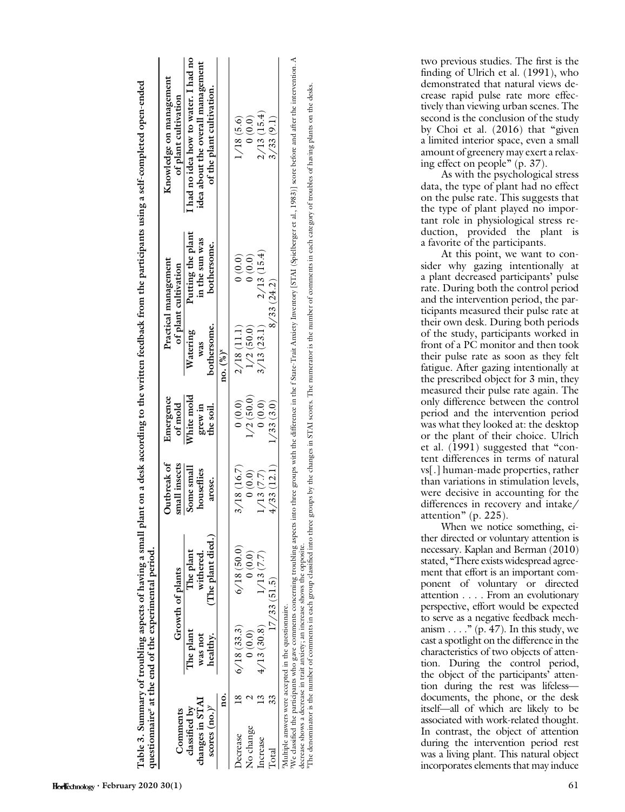|                                                                   |            |                      | questionnaire <sup>z</sup> at the end of the experimental period.          |                          |                       |                                   |                                     |                                                                                                                                                                                                                                |
|-------------------------------------------------------------------|------------|----------------------|----------------------------------------------------------------------------|--------------------------|-----------------------|-----------------------------------|-------------------------------------|--------------------------------------------------------------------------------------------------------------------------------------------------------------------------------------------------------------------------------|
|                                                                   |            |                      |                                                                            | Outbreak of              | Emergence             |                                   | Practical management                | Knowledge on management                                                                                                                                                                                                        |
| Comments                                                          |            |                      | Growth of plants                                                           | small insects            | of mold               |                                   | of plant cultivation                | of plant cultivation                                                                                                                                                                                                           |
| changes in STAI<br>classified by                                  |            | The plant<br>was not | The plant<br>withered.                                                     | Some small<br>houseflies | White mold<br>grew in | Watering<br>was                   | Putting the plant<br>in the sun was | I had no idea how to water. I had no<br>idea about the overall management                                                                                                                                                      |
| scores $(no.)^y$                                                  |            | healthy.             | (The plant died.)                                                          | arose.                   | the soil.             | bothersome.                       | bothersome.                         | of the plant cultivation.                                                                                                                                                                                                      |
|                                                                   | ġ          |                      |                                                                            |                          |                       | $no. {\binom{9}{0}}^{\mathbf{x}}$ |                                     |                                                                                                                                                                                                                                |
| <b>becrease</b>                                                   | 6/18(33.3) |                      | $6/18$ (50.0)                                                              | 3/18(16.7)               | 0(0.0)                | 2/18(11.1)                        | (0.0)                               | 1/18(5.6)                                                                                                                                                                                                                      |
| No change                                                         |            | 0(0.0)               | 0(0.0)                                                                     | 0(0.0)                   | 1/2(50.0)             | 1/2(50.0)                         | (0.0)                               | (0.0)                                                                                                                                                                                                                          |
| ncrease                                                           | $^{13}$    | 4/13(30.8)           | 1/13(7.7)                                                                  | 1/13(7.7)                | 0(0.0)                | 3/13(23.1)                        | 2/13(15.4)                          | 2/13(15.4)                                                                                                                                                                                                                     |
| otal                                                              |            |                      | 17/33(51.5)                                                                | 4/33(12.1)               | 1/33(3.0)             |                                   | 8/33(24.2)                          | 3/33(9.1)                                                                                                                                                                                                                      |
| <sup>2</sup> Multiple answers were accepted in the questionnaire. |            |                      | decrease shows a decrease in trait anyiety: an increase shows the opposite |                          |                       |                                   |                                     | We classified the participants who gave comments concerning roubling aspects into three groups with the difference in the f State-Trait Anxiety Inventory [STAI (Spielberger et al., 1983)] score before and after the interve |

Table 3. Summary of troubling aspects of having a small plant on a desk according to the written feedback from the participants using a self-completed o Table 3. Summary of troubling aspects of having a small plant on a desk according to the written feedback from the participants using a self-completed open-ended

accrease shows a decrease in transmety; an increase shows the opposite.<br>"The denominator is the number of comments in each group dasslifed into three groups by the changes in STAI scores. The numerator is the number of com <sup>x</sup>The denominator is the number of comments in each group classified into three groups by the changes in STAI scores. The numerator is the number of comments in each category of troubles of having plants on the desks. decrease shows a decrease in trait anxiety; an increase shows the opposite. ਚੱ

two previous studies. The first is the finding of Ulrich et al. (1991), who demonstrated that natural views decrease rapid pulse rate more effectively than viewing urban scenes. The second is the conclusion of the study by Choi et al. (2016) that "given a limited interior space, even a small amount of greenery may exert a relaxing effect on people'' (p. 37).

As with the psychological stress data, the type of plant had no effect on the pulse rate. This suggests that the type of plant played no important role in physiological stress reduction, provided the plant is a favorite of the participants.

At this point, we want to consider why gazing intentionally at a plant decreased participants' pulse rate. During both the control period and the intervention period, the participants measured their pulse rate at their own desk. During both periods of the study, participants worked in front of a PC monitor and then took their pulse rate as soon as they felt fatigue. After gazing intentionally at the prescribed object for 3 min, they measured their pulse rate again. The only difference between the control period and the intervention period was what they looked at: the desktop or the plant of their choice. Ulrich et al. (1991) suggested that "content differences in terms of natural vs[.] human-made properties, rather than variations in stimulation levels, were decisive in accounting for the differences in recovery and intake/ attention'' (p. 225).

When we notice something, either directed or voluntary attention is necessary. Kaplan and Berman (2010) stated, "There exists widespread agreement that effort is an important component of voluntary or directed attention . . . . From an evolutionary perspective, effort would be expected to serve as a negative feedback mechanism  $\dots$ ." (p. 47). In this study, we cast a spotlight on the difference in the characteristics of two objects of attention. During the control period, the object of the participants' attention during the rest was lifeless documents, the phone, or the desk itself—all of which are likely to be associated with work-related thought. In contrast, the object of attention during the intervention period rest was a living plant. This natural object incorporates elements that may induce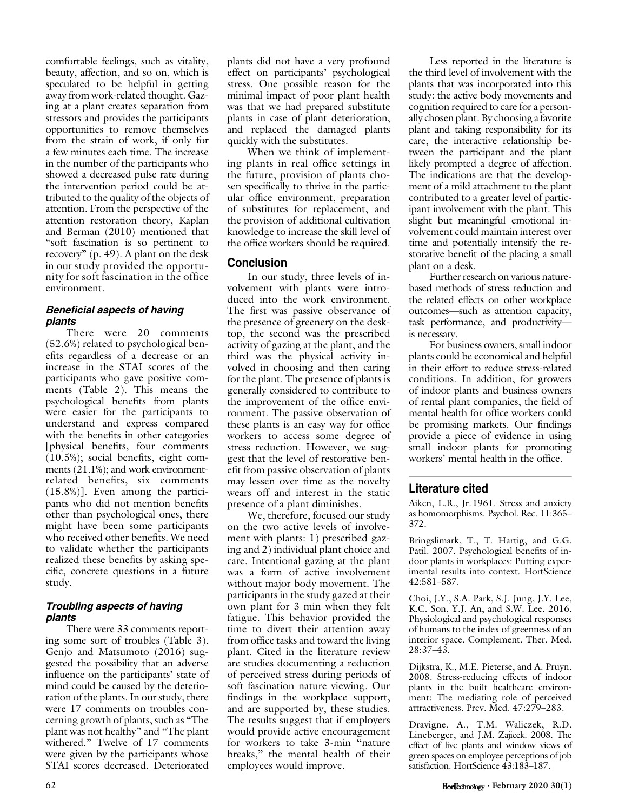comfortable feelings, such as vitality, beauty, affection, and so on, which is speculated to be helpful in getting away from work-related thought. Gazing at a plant creates separation from stressors and provides the participants opportunities to remove themselves from the strain of work, if only for a few minutes each time. The increase in the number of the participants who showed a decreased pulse rate during the intervention period could be attributed to the quality of the objects of attention. From the perspective of the attention restoration theory, Kaplan and Berman (2010) mentioned that ''soft fascination is so pertinent to recovery'' (p. 49). A plant on the desk in our study provided the opportunity for soft fascination in the office environment.

## Beneficial aspects of having plants

There were 20 comments (52.6%) related to psychological benefits regardless of a decrease or an increase in the STAI scores of the participants who gave positive comments (Table 2). This means the psychological benefits from plants were easier for the participants to understand and express compared with the benefits in other categories [physical benefits, four comments (10.5%); social benefits, eight comments (21.1%); and work environmentrelated benefits, six comments (15.8%)]. Even among the participants who did not mention benefits other than psychological ones, there might have been some participants who received other benefits. We need to validate whether the participants realized these benefits by asking specific, concrete questions in a future study.

## Troubling aspects of having plants

There were 33 comments reporting some sort of troubles (Table 3). Genjo and Matsumoto (2016) suggested the possibility that an adverse influence on the participants' state of mind could be caused by the deterioration of the plants. In our study, there were 17 comments on troubles concerning growth of plants, such as ''The plant was not healthy'' and ''The plant withered.'' Twelve of 17 comments were given by the participants whose STAI scores decreased. Deteriorated

plants did not have a very profound effect on participants' psychological stress. One possible reason for the minimal impact of poor plant health was that we had prepared substitute plants in case of plant deterioration, and replaced the damaged plants quickly with the substitutes.

When we think of implementing plants in real office settings in the future, provision of plants chosen specifically to thrive in the particular office environment, preparation of substitutes for replacement, and the provision of additional cultivation knowledge to increase the skill level of the office workers should be required.

## Conclusion

In our study, three levels of involvement with plants were introduced into the work environment. The first was passive observance of the presence of greenery on the desktop, the second was the prescribed activity of gazing at the plant, and the third was the physical activity involved in choosing and then caring for the plant. The presence of plants is generally considered to contribute to the improvement of the office environment. The passive observation of these plants is an easy way for office workers to access some degree of stress reduction. However, we suggest that the level of restorative benefit from passive observation of plants may lessen over time as the novelty wears off and interest in the static presence of a plant diminishes.

We, therefore, focused our study on the two active levels of involvement with plants: 1) prescribed gazing and 2) individual plant choice and care. Intentional gazing at the plant was a form of active involvement without major body movement. The participants in the study gazed at their own plant for 3 min when they felt fatigue. This behavior provided the time to divert their attention away from office tasks and toward the living plant. Cited in the literature review are studies documenting a reduction of perceived stress during periods of soft fascination nature viewing. Our findings in the workplace support, and are supported by, these studies. The results suggest that if employers would provide active encouragement for workers to take 3-min "nature breaks,'' the mental health of their employees would improve.

Less reported in the literature is the third level of involvement with the plants that was incorporated into this study: the active body movements and cognition required to care for a personally chosen plant. By choosing a favorite plant and taking responsibility for its care, the interactive relationship between the participant and the plant likely prompted a degree of affection. The indications are that the development of a mild attachment to the plant contributed to a greater level of participant involvement with the plant. This slight but meaningful emotional involvement could maintain interest over time and potentially intensify the restorative benefit of the placing a small plant on a desk.

Further research on various naturebased methods of stress reduction and the related effects on other workplace outcomes—such as attention capacity, task performance, and productivity is necessary.

For business owners, small indoor plants could be economical and helpful in their effort to reduce stress-related conditions. In addition, for growers of indoor plants and business owners of rental plant companies, the field of mental health for office workers could be promising markets. Our findings provide a piece of evidence in using small indoor plants for promoting workers' mental health in the office.

## Literature cited

Aiken, L.R., Jr.1961. Stress and anxiety as homomorphisms. Psychol. Rec. 11:365– 372.

Bringslimark, T., T. Hartig, and G.G. Patil. 2007. Psychological benefits of indoor plants in workplaces: Putting experimental results into context. HortScience 42:581–587.

Choi, J.Y., S.A. Park, S.J. Jung, J.Y. Lee, K.C. Son, Y.J. An, and S.W. Lee. 2016. Physiological and psychological responses of humans to the index of greenness of an interior space. Complement. Ther. Med. 28:37–43.

Dijkstra, K., M.E. Pieterse, and A. Pruyn. 2008. Stress-reducing effects of indoor plants in the built healthcare environment: The mediating role of perceived attractiveness. Prev. Med. 47:279–283.

Dravigne, A., T.M. Waliczek, R.D. Lineberger, and J.M. Zajicek. 2008. The effect of live plants and window views of green spaces on employee perceptions of job satisfaction. HortScience 43:183–187.